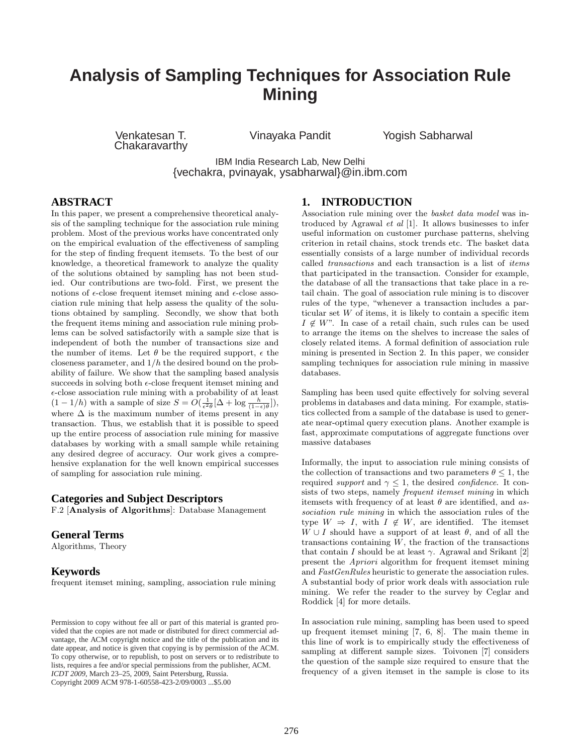# **Analysis of Sampling Techniques for Association Rule Mining**

Venkatesan T. **Chakaravarthy** 

Vinayaka Pandit Yogish Sabharwal

IBM India Research Lab, New Delhi {vechakra, pvinayak, ysabharwal}@in.ibm.com

# **ABSTRACT**

In this paper, we present a comprehensive theoretical analysis of the sampling technique for the association rule mining problem. Most of the previous works have concentrated only on the empirical evaluation of the effectiveness of sampling for the step of finding frequent itemsets. To the best of our knowledge, a theoretical framework to analyze the quality of the solutions obtained by sampling has not been studied. Our contributions are two-fold. First, we present the notions of  $\epsilon$ -close frequent itemset mining and  $\epsilon$ -close association rule mining that help assess the quality of the solutions obtained by sampling. Secondly, we show that both the frequent items mining and association rule mining problems can be solved satisfactorily with a sample size that is independent of both the number of transactions size and the number of items. Let  $\theta$  be the required support,  $\epsilon$  the closeness parameter, and  $1/h$  the desired bound on the probability of failure. We show that the sampling based analysis succeeds in solving both  $\epsilon$ -close frequent itemset mining and  $\epsilon\text{-close}$  association rule mining with a probability of at least  $(1 - 1/h)$  with a sample of size  $S = O(\frac{1}{\epsilon^2 \theta} [\Delta + \log \frac{h}{(1 - \epsilon)\theta}])$ , where  $\Delta$  is the maximum number of items present in any transaction. Thus, we establish that it is possible to speed up the entire process of association rule mining for massive databases by working with a small sample while retaining any desired degree of accuracy. Our work gives a comprehensive explanation for the well known empirical successes of sampling for association rule mining.

#### **Categories and Subject Descriptors**

F.2 [Analysis of Algorithms]: Database Management

## **General Terms**

Algorithms, Theory

## **Keywords**

frequent itemset mining, sampling, association rule mining

# **1. INTRODUCTION**

Association rule mining over the basket data model was introduced by Agrawal et al [1]. It allows businesses to infer useful information on customer purchase patterns, shelving criterion in retail chains, stock trends etc. The basket data essentially consists of a large number of individual records called transactions and each transaction is a list of items that participated in the transaction. Consider for example, the database of all the transactions that take place in a retail chain. The goal of association rule mining is to discover rules of the type, "whenever a transaction includes a particular set  $W$  of items, it is likely to contain a specific item  $I \notin W$ ". In case of a retail chain, such rules can be used to arrange the items on the shelves to increase the sales of closely related items. A formal definition of association rule mining is presented in Section 2. In this paper, we consider sampling techniques for association rule mining in massive databases.

Sampling has been used quite effectively for solving several problems in databases and data mining. For example, statistics collected from a sample of the database is used to generate near-optimal query execution plans. Another example is fast, approximate computations of aggregate functions over massive databases

Informally, the input to association rule mining consists of the collection of transactions and two parameters  $\theta \leq 1$ , the required *support* and  $\gamma \leq 1$ , the desired *confidence*. It consists of two steps, namely *frequent itemset mining* in which itemsets with frequency of at least  $\theta$  are identified, and association rule mining in which the association rules of the type  $W \Rightarrow I$ , with  $I \notin W$ , are identified. The itemset  $W \cup I$  should have a support of at least  $\theta$ , and of all the transactions containing  $W$ , the fraction of the transactions that contain I should be at least  $\gamma$ . Agrawal and Srikant [2] present the Apriori algorithm for frequent itemset mining and FastGenRules heuristic to generate the association rules. A substantial body of prior work deals with association rule mining. We refer the reader to the survey by Ceglar and Roddick [4] for more details.

In association rule mining, sampling has been used to speed up frequent itemset mining [7, 6, 8]. The main theme in this line of work is to empirically study the effectiveness of sampling at different sample sizes. Toivonen [7] considers the question of the sample size required to ensure that the frequency of a given itemset in the sample is close to its

Permission to copy without fee all or part of this material is granted provided that the copies are not made or distributed for direct commercial advantage, the ACM copyright notice and the title of the publication and its date appear, and notice is given that copying is by permission of the ACM. To copy otherwise, or to republish, to post on servers or to redistribute to lists, requires a fee and/or special permissions from the publisher, ACM. *ICDT 2009*, March 23–25, 2009, Saint Petersburg, Russia. Copyright 2009 ACM 978-1-60558-423-2/09/0003 ...\$5.00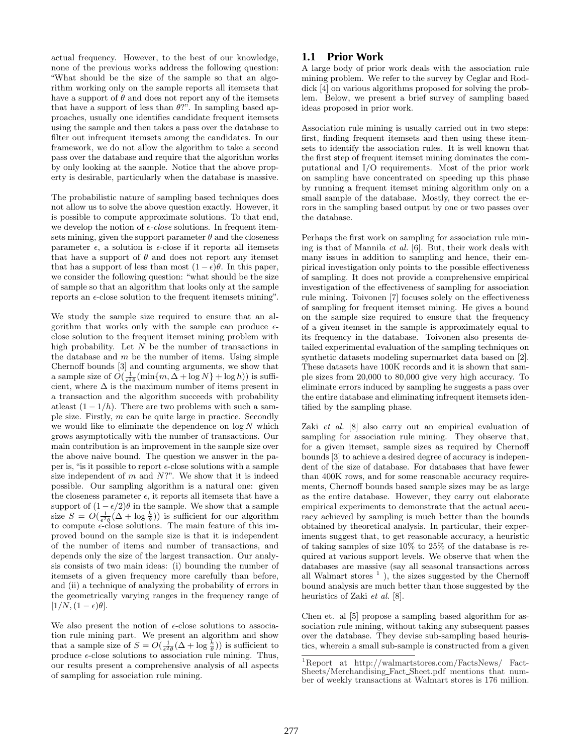actual frequency. However, to the best of our knowledge, none of the previous works address the following question: "What should be the size of the sample so that an algorithm working only on the sample reports all itemsets that have a support of  $\theta$  and does not report any of the itemsets that have a support of less than  $\theta$ ?". In sampling based approaches, usually one identifies candidate frequent itemsets using the sample and then takes a pass over the database to filter out infrequent itemsets among the candidates. In our framework, we do not allow the algorithm to take a second pass over the database and require that the algorithm works by only looking at the sample. Notice that the above property is desirable, particularly when the database is massive.

The probabilistic nature of sampling based techniques does not allow us to solve the above question exactly. However, it is possible to compute approximate solutions. To that end, we develop the notion of  $\epsilon$ -close solutions. In frequent itemsets mining, given the support parameter  $\theta$  and the closeness parameter  $\epsilon$ , a solution is  $\epsilon$ -close if it reports all itemsets that have a support of  $\theta$  and does not report any itemset that has a support of less than most  $(1 - \epsilon)\theta$ . In this paper, we consider the following question: "what should be the size of sample so that an algorithm that looks only at the sample reports an  $\epsilon$ -close solution to the frequent itemsets mining".

We study the sample size required to ensure that an algorithm that works only with the sample can produce  $\epsilon$ close solution to the frequent itemset mining problem with high probability. Let  $N$  be the number of transactions in the database and  $m$  be the number of items. Using simple Chernoff bounds [3] and counting arguments, we show that a sample size of  $O(\frac{1}{\epsilon^2 \theta}(\min\{m, \Delta + \log N\} + \log h))$  is sufficient, where  $\Delta$  is the maximum number of items present in a transaction and the algorithm succeeds with probability at least  $(1 - 1/h)$ . There are two problems with such a sample size. Firstly, m can be quite large in practice. Secondly we would like to eliminate the dependence on  $\log N$  which grows asymptotically with the number of transactions. Our main contribution is an improvement in the sample size over the above naive bound. The question we answer in the paper is, "is it possible to report  $\epsilon$ -close solutions with a sample size independent of  $m$  and  $N$ ?". We show that it is indeed possible. Our sampling algorithm is a natural one: given the closeness parameter  $\epsilon$ , it reports all itemsets that have a support of  $(1 - \epsilon/2)\theta$  in the sample. We show that a sample size  $S = O(\frac{1}{\epsilon^2 \theta} (\Delta + \log \frac{h}{\theta}))$  is sufficient for our algorithm to compute  $\epsilon$ -close solutions. The main feature of this improved bound on the sample size is that it is independent of the number of items and number of transactions, and depends only the size of the largest transaction. Our analysis consists of two main ideas: (i) bounding the number of itemsets of a given frequency more carefully than before, and (ii) a technique of analyzing the probability of errors in the geometrically varying ranges in the frequency range of  $[1/N,(1-\epsilon)\theta].$ 

We also present the notion of  $\epsilon$ -close solutions to association rule mining part. We present an algorithm and show that a sample size of  $S = O(\frac{1}{\epsilon^2 \theta} (\Delta + \log \frac{h}{\theta}))$  is sufficient to produce  $\epsilon$ -close solutions to association rule mining. Thus, our results present a comprehensive analysis of all aspects of sampling for association rule mining.

# **1.1 Prior Work**

A large body of prior work deals with the association rule mining problem. We refer to the survey by Ceglar and Roddick [4] on various algorithms proposed for solving the problem. Below, we present a brief survey of sampling based ideas proposed in prior work.

Association rule mining is usually carried out in two steps: first, finding frequent itemsets and then using these itemsets to identify the association rules. It is well known that the first step of frequent itemset mining dominates the computational and I/O requirements. Most of the prior work on sampling have concentrated on speeding up this phase by running a frequent itemset mining algorithm only on a small sample of the database. Mostly, they correct the errors in the sampling based output by one or two passes over the database.

Perhaps the first work on sampling for association rule mining is that of Mannila et al. [6]. But, their work deals with many issues in addition to sampling and hence, their empirical investigation only points to the possible effectiveness of sampling. It does not provide a comprehensive empirical investigation of the effectiveness of sampling for association rule mining. Toivonen [7] focuses solely on the effectiveness of sampling for frequent itemset mining. He gives a bound on the sample size required to ensure that the frequency of a given itemset in the sample is approximately equal to its frequency in the database. Toivonen also presents detailed experimental evaluation of the sampling techniques on synthetic datasets modeling supermarket data based on [2]. These datasets have 100K records and it is shown that sample sizes from 20,000 to 80,000 give very high accuracy. To eliminate errors induced by sampling he suggests a pass over the entire database and eliminating infrequent itemsets identified by the sampling phase.

Zaki et al. [8] also carry out an empirical evaluation of sampling for association rule mining. They observe that, for a given itemset, sample sizes as required by Chernoff bounds [3] to achieve a desired degree of accuracy is independent of the size of database. For databases that have fewer than 400K rows, and for some reasonable accuracy requirements, Chernoff bounds based sample sizes may be as large as the entire database. However, they carry out elaborate empirical experiments to demonstrate that the actual accuracy achieved by sampling is much better than the bounds obtained by theoretical analysis. In particular, their experiments suggest that, to get reasonable accuracy, a heuristic of taking samples of size 10% to 25% of the database is required at various support levels. We observe that when the databases are massive (say all seasonal transactions across all Walmart stores<sup>1</sup>), the sizes suggested by the Chernoff bound analysis are much better than those suggested by the heuristics of Zaki et al. [8].

Chen et. al [5] propose a sampling based algorithm for association rule mining, without taking any subsequent passes over the database. They devise sub-sampling based heuristics, wherein a small sub-sample is constructed from a given

 $^{1}$  Report at http://walmartstores.com/FactsNews/ Fact-Sheets/Merchandising Fact Sheet.pdf mentions that number of weekly transactions at Walmart stores is 176 million.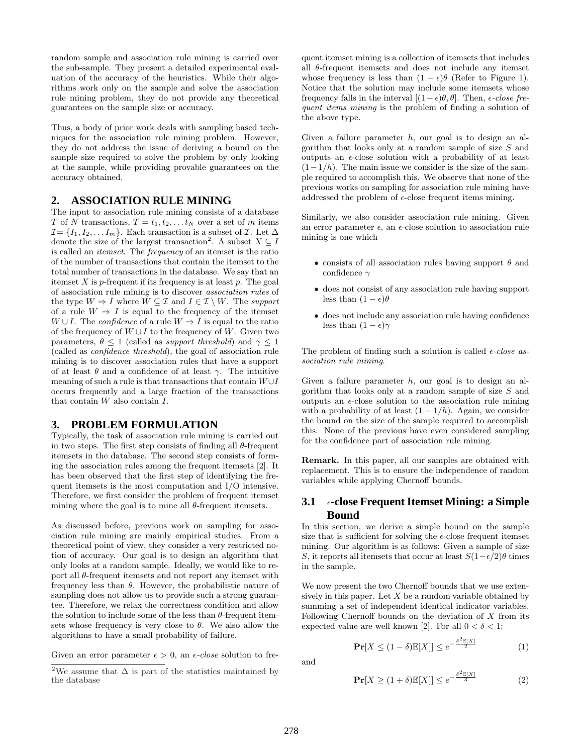random sample and association rule mining is carried over the sub-sample. They present a detailed experimental evaluation of the accuracy of the heuristics. While their algorithms work only on the sample and solve the association rule mining problem, they do not provide any theoretical guarantees on the sample size or accuracy.

Thus, a body of prior work deals with sampling based techniques for the association rule mining problem. However, they do not address the issue of deriving a bound on the sample size required to solve the problem by only looking at the sample, while providing provable guarantees on the accuracy obtained.

# **2. ASSOCIATION RULE MINING**

The input to association rule mining consists of a database T of N transactions,  $T = t_1, t_2, \ldots t_N$  over a set of m items  $\mathcal{I} = \{I_1, I_2, \ldots I_m\}$ . Each transaction is a subset of  $\mathcal{I}$ . Let  $\Delta$ denote the size of the largest transaction<sup>2</sup>. A subset  $X \subseteq I$ is called an itemset. The frequency of an itemset is the ratio of the number of transactions that contain the itemset to the total number of transactions in the database. We say that an itemset  $X$  is  $p$ -frequent if its frequency is at least  $p$ . The goal of association rule mining is to discover association rules of the type  $W \Rightarrow I$  where  $W \subseteq \mathcal{I}$  and  $I \in \mathcal{I} \setminus W$ . The support of a rule  $W \Rightarrow I$  is equal to the frequency of the itemset  $W \cup I$ . The *confidence* of a rule  $W \Rightarrow I$  is equal to the ratio of the frequency of  $W \cup I$  to the frequency of W. Given two parameters,  $\theta \leq 1$  (called as *support threshold*) and  $\gamma \leq 1$ (called as confidence threshold), the goal of association rule mining is to discover association rules that have a support of at least  $\theta$  and a confidence of at least  $\gamma$ . The intuitive meaning of such a rule is that transactions that contain  $W \cup I$ occurs frequently and a large fraction of the transactions that contain W also contain I.

# **3. PROBLEM FORMULATION**

Typically, the task of association rule mining is carried out in two steps. The first step consists of finding all  $\theta$ -frequent itemsets in the database. The second step consists of forming the association rules among the frequent itemsets [2]. It has been observed that the first step of identifying the frequent itemsets is the most computation and I/O intensive. Therefore, we first consider the problem of frequent itemset mining where the goal is to mine all  $\theta$ -frequent itemsets.

As discussed before, previous work on sampling for association rule mining are mainly empirical studies. From a theoretical point of view, they consider a very restricted notion of accuracy. Our goal is to design an algorithm that only looks at a random sample. Ideally, we would like to report all  $\theta$ -frequent itemsets and not report any itemset with frequency less than  $\theta$ . However, the probabilistic nature of sampling does not allow us to provide such a strong guarantee. Therefore, we relax the correctness condition and allow the solution to include some of the less than  $\theta$ -frequent itemsets whose frequency is very close to  $\theta$ . We also allow the algorithms to have a small probability of failure.

Given an error parameter  $\epsilon > 0$ , an  $\epsilon$ -close solution to fre-

quent itemset mining is a collection of itemsets that includes all θ-frequent itemsets and does not include any itemset whose frequency is less than  $(1 - \epsilon)\theta$  (Refer to Figure 1). Notice that the solution may include some itemsets whose frequency falls in the interval  $[(1 - \epsilon)\theta, \theta]$ . Then,  $\epsilon$ -close frequent items mining is the problem of finding a solution of the above type.

Given a failure parameter  $h$ , our goal is to design an algorithm that looks only at a random sample of size S and outputs an  $\epsilon$ -close solution with a probability of at least  $(1-1/h)$ . The main issue we consider is the size of the sample required to accomplish this. We observe that none of the previous works on sampling for association rule mining have addressed the problem of  $\epsilon$ -close frequent items mining.

Similarly, we also consider association rule mining. Given an error parameter  $\epsilon$ , an  $\epsilon$ -close solution to association rule mining is one which

- $\bullet$  consists of all association rules having support  $\theta$  and confidence  $\gamma$
- does not consist of any association rule having support less than  $(1 - \epsilon)\theta$
- does not include any association rule having confidence less than  $(1 - \epsilon)\gamma$

The problem of finding such a solution is called  $\epsilon$ -close association rule mining.

Given a failure parameter  $h$ , our goal is to design an algorithm that looks only at a random sample of size S and outputs an  $\epsilon$ -close solution to the association rule mining with a probability of at least  $(1 - 1/h)$ . Again, we consider the bound on the size of the sample required to accomplish this. None of the previous have even considered sampling for the confidence part of association rule mining.

Remark. In this paper, all our samples are obtained with replacement. This is to ensure the independence of random variables while applying Chernoff bounds.

# **3.1** ²**-close Frequent Itemset Mining: a Simple Bound**

In this section, we derive a simple bound on the sample size that is sufficient for solving the  $\epsilon$ -close frequent itemset mining. Our algorithm is as follows: Given a sample of size S, it reports all itemsets that occur at least  $S(1-\epsilon/2)\theta$  times in the sample.

We now present the two Chernoff bounds that we use extensively in this paper. Let  $X$  be a random variable obtained by summing a set of independent identical indicator variables. Following Chernoff bounds on the deviation of  $X$  from its expected value are well known [2]. For all  $0 < \delta < 1$ :

$$
\mathbf{Pr}[X \le (1 - \delta)\mathbb{E}[X]] \le e^{-\frac{\delta^2 \mathbb{E}[X]}{2}} \tag{1}
$$

and

$$
\mathbf{Pr}[X \ge (1+\delta)\mathbb{E}[X]] \le e^{-\frac{\delta^2 \mathbb{E}[X]}{3}} \tag{2}
$$

<sup>&</sup>lt;sup>2</sup>We assume that  $\Delta$  is part of the statistics maintained by the database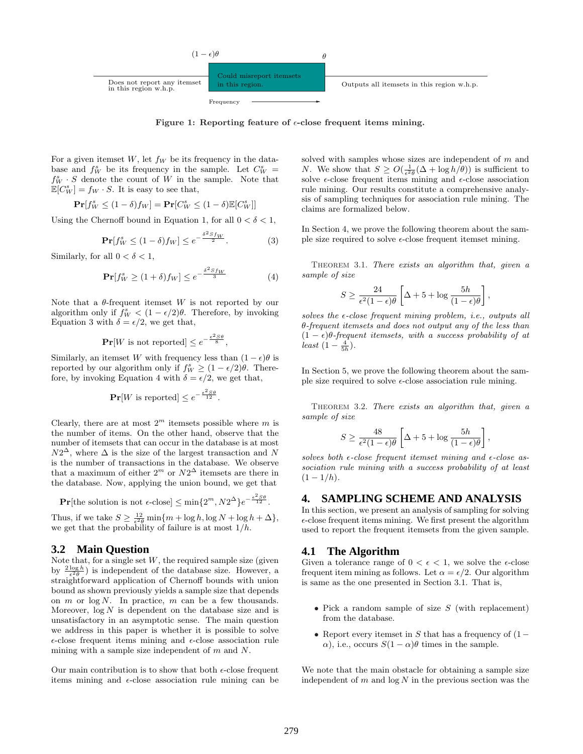

Figure 1: Reporting feature of  $\epsilon$ -close frequent items mining.

For a given itemset  $W$ , let  $f_W$  be its frequency in the database and  $f_W^s$  be its frequency in the sample. Let  $C_W^s$  =  $f_W^s \cdot S$  denote the count of W in the sample. Note that  $\mathbb{E}[C_W^s] = f_W \cdot S$ . It is easy to see that,

$$
\mathbf{Pr}[f_W^s \le (1 - \delta)f_W] = \mathbf{Pr}[C_W^s \le (1 - \delta)\mathbb{E}[C_W^s]]
$$

Using the Chernoff bound in Equation 1, for all  $0 < \delta < 1$ ,

$$
\mathbf{Pr}[f_W^s \le (1 - \delta)f_W] \le e^{-\frac{\delta^2 S f_W}{2}}.
$$
 (3)

Similarly, for all  $0 < \delta < 1$ ,

$$
\mathbf{Pr}[f_W^s \ge (1+\delta)f_W] \le e^{-\frac{\delta^2 S f_W}{3}} \tag{4}
$$

Note that a  $\theta$ -frequent itemset W is not reported by our algorithm only if  $f_W^s < (1 - \epsilon/2)\theta$ . Therefore, by invoking Equation 3 with  $\delta = \epsilon/2$ , we get that,

$$
\mathbf{Pr}[W \text{ is not reported}] \le e^{-\frac{\epsilon^2 S \theta}{8}},
$$

Similarly, an itemset W with frequency less than  $(1 - \epsilon)\theta$  is reported by our algorithm only if  $f_W^s \geq (1 - \epsilon/2)\theta$ . Therefore, by invoking Equation 4 with  $\delta = \epsilon/2$ , we get that,

$$
\mathbf{Pr}[W \text{ is reported}] \le e^{-\frac{\epsilon^2 S \theta}{12}}.
$$

Clearly, there are at most  $2^m$  itemsets possible where m is the number of items. On the other hand, observe that the number of itemsets that can occur in the database is at most  $N2^{\Delta}$ , where  $\Delta$  is the size of the largest transaction and N is the number of transactions in the database. We observe that a maximum of either  $2^m$  or  $N2^{\Delta}$  itemsets are there in the database. Now, applying the union bound, we get that

$$
\Pr[\text{the solution is not } \epsilon\text{-close}] \le \min\{2^m, N2^{\Delta}\}e^{-\frac{\epsilon^2 S \theta}{12}}.
$$

Thus, if we take  $S \geq \frac{12}{\epsilon^2 \theta} \min\{m + \log h, \log N + \log h + \Delta\},\$ we get that the probability of failure is at most  $1/h$ .

#### **3.2 Main Question**

Note that, for a single set  $W$ , the required sample size (given by  $\frac{2 \log h}{\epsilon^2 \theta}$ ) is independent of the database size. However, a straightforward application of Chernoff bounds with union bound as shown previously yields a sample size that depends on  $m$  or  $\log N$ . In practice,  $m$  can be a few thousands. Moreover,  $log N$  is dependent on the database size and is unsatisfactory in an asymptotic sense. The main question we address in this paper is whether it is possible to solve  $\epsilon$ -close frequent items mining and  $\epsilon$ -close association rule mining with a sample size independent of  $m$  and  $N$ .

Our main contribution is to show that both  $\epsilon$ -close frequent items mining and  $\epsilon$ -close association rule mining can be solved with samples whose sizes are independent of  $m$  and *N*. We show that  $S \geq O(\frac{1}{\epsilon^2 \theta}(\Delta + \log h/\theta))$  is sufficient to solve  $\epsilon$ -close frequent items mining and  $\epsilon$ -close association rule mining. Our results constitute a comprehensive analysis of sampling techniques for association rule mining. The claims are formalized below.

In Section 4, we prove the following theorem about the sample size required to solve  $\epsilon$ -close frequent itemset mining.

THEOREM 3.1. There exists an algorithm that, given a sample of size

$$
S \geq \frac{24}{\epsilon^2 (1 - \epsilon) \theta} \left[ \Delta + 5 + \log \frac{5h}{(1 - \epsilon) \theta} \right],
$$

solves the  $\epsilon$ -close frequent mining problem, i.e., outputs all θ-frequent itemsets and does not output any of the less than  $(1 - \epsilon)\theta$ -frequent itemsets, with a success probability of at least  $(1-\frac{4}{5h}).$ 

In Section 5, we prove the following theorem about the sample size required to solve  $\epsilon$ -close association rule mining.

THEOREM 3.2. There exists an algorithm that, given a sample of size

$$
S \ge \frac{48}{\epsilon^2 (1 - \epsilon)\theta} \left[ \Delta + 5 + \log \frac{5h}{(1 - \epsilon)\theta} \right],
$$

solves both  $\epsilon$ -close frequent itemset mining and  $\epsilon$ -close association rule mining with a success probability of at least  $(1-1/h)$ .

#### **4. SAMPLING SCHEME AND ANALYSIS**

In this section, we present an analysis of sampling for solving  $\epsilon$ -close frequent items mining. We first present the algorithm used to report the frequent itemsets from the given sample.

#### **4.1 The Algorithm**

Given a tolerance range of  $0 < \epsilon < 1$ , we solve the  $\epsilon$ -close frequent item mining as follows. Let  $\alpha = \epsilon/2$ . Our algorithm is same as the one presented in Section 3.1. That is,

- Pick a random sample of size  $S$  (with replacement) from the database.
- Report every itemset in S that has a frequency of  $(1-\epsilon)$  $\alpha$ ), i.e., occurs  $S(1-\alpha)\theta$  times in the sample.

We note that the main obstacle for obtaining a sample size independent of  $m$  and  $\log N$  in the previous section was the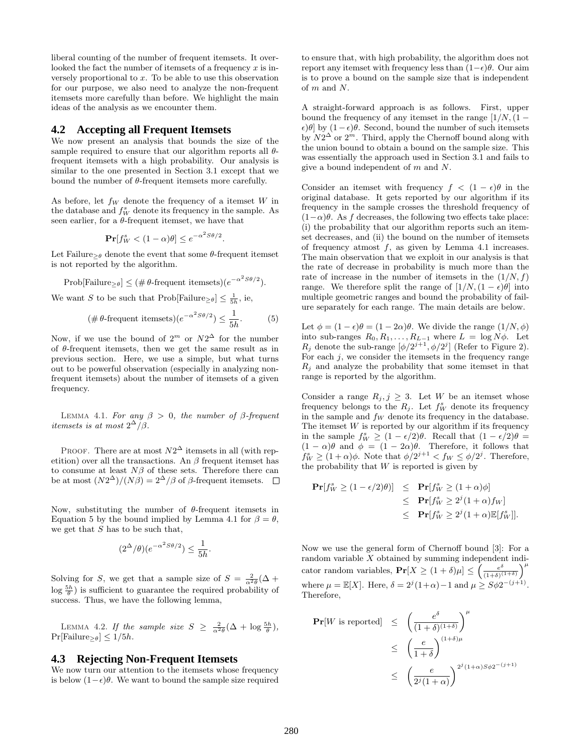liberal counting of the number of frequent itemsets. It overlooked the fact the number of itemsets of a frequency  $x$  is inversely proportional to  $x$ . To be able to use this observation for our purpose, we also need to analyze the non-frequent itemsets more carefully than before. We highlight the main ideas of the analysis as we encounter them.

## **4.2 Accepting all Frequent Itemsets**

We now present an analysis that bounds the size of the sample required to ensure that our algorithm reports all  $\theta$ frequent itemsets with a high probability. Our analysis is similar to the one presented in Section 3.1 except that we bound the number of  $\theta$ -frequent itemsets more carefully.

As before, let  $f_W$  denote the frequency of a itemset W in the database and  $f_W^s$  denote its frequency in the sample. As seen earlier, for a  $\theta$ -frequent itemset, we have that

$$
\mathbf{Pr}[f_W^s < (1 - \alpha)\theta] \le e^{-\alpha^2 S \theta/2}.
$$

Let Failure<sub>>θ</sub> denote the event that some  $\theta$ -frequent itemset is not reported by the algorithm.

$$
Prob[Failure_{\geq \theta}] \leq (\# \theta\text{-frequent itemsets})(e^{-\alpha^2 S\theta/2}).
$$

We want S to be such that  $\text{Prob}[\text{Failure}_{\geq \theta}] \leq \frac{1}{5h}$ , ie,

$$
(\#\,\theta\text{-frequent itemsets})(e^{-\alpha^2S\theta/2}) \le \frac{1}{5h}.\tag{5}
$$

Now, if we use the bound of  $2^m$  or  $N2^{\Delta}$  for the number of  $\theta$ -frequent itemsets, then we get the same result as in previous section. Here, we use a simple, but what turns out to be powerful observation (especially in analyzing nonfrequent itemsets) about the number of itemsets of a given frequency.

LEMMA 4.1. For any  $\beta > 0$ , the number of  $\beta$ -frequent itemsets is at most  $2^{\Delta}/\beta$ .

PROOF. There are at most  $N2^{\Delta}$  itemsets in all (with repetition) over all the transactions. An  $\beta$  frequent itemset has to consume at least  $N\beta$  of these sets. Therefore there can be at most  $(N2^{\Delta})/(N\beta) = 2^{\Delta}/\beta$  of  $\beta$ -frequent itemsets.

Now, substituting the number of  $\theta$ -frequent itemsets in Equation 5 by the bound implied by Lemma 4.1 for  $\beta = \theta$ , we get that  $S$  has to be such that,

$$
(2^{\Delta}/\theta)(e^{-\alpha^2 S \theta/2}) \leq \frac{1}{5h}.
$$

Solving for S, we get that a sample size of  $S = \frac{2}{\alpha^2 \theta} (\Delta +$  $\log \frac{5h}{\theta}$ ) is sufficient to guarantee the required probability of success. Thus, we have the following lemma,

LEMMA 4.2. If the sample size  $S \geq \frac{2}{\alpha^2 \theta} (\Delta + \log \frac{5h}{\theta}),$  $Pr[Failure_{\geq \theta}] \leq 1/5h.$ 

# **4.3 Rejecting Non-Frequent Itemsets**

We now turn our attention to the itemsets whose frequency is below  $(1-\epsilon)\theta$ . We want to bound the sample size required to ensure that, with high probability, the algorithm does not report any itemset with frequency less than  $(1-\epsilon)\theta$ . Our aim is to prove a bound on the sample size that is independent of m and N.

A straight-forward approach is as follows. First, upper bound the frequency of any itemset in the range  $[1/N, (1 \epsilon$ )θ] by  $(1-\epsilon)\theta$ . Second, bound the number of such itemsets by  $N2^{\Delta}$  or  $2^m$ . Third, apply the Chernoff bound along with the union bound to obtain a bound on the sample size. This was essentially the approach used in Section 3.1 and fails to give a bound independent of m and N.

Consider an itemset with frequency  $f < (1 - \epsilon)\theta$  in the original database. It gets reported by our algorithm if its frequency in the sample crosses the threshold frequency of  $(1-\alpha)\theta$ . As f decreases, the following two effects take place: (i) the probability that our algorithm reports such an itemset decreases, and (ii) the bound on the number of itemsets of frequency atmost  $f$ , as given by Lemma 4.1 increases. The main observation that we exploit in our analysis is that the rate of decrease in probability is much more than the rate of increase in the number of itemsets in the  $(1/N, f)$ range. We therefore split the range of  $[1/N,(1-\epsilon)\theta]$  into multiple geometric ranges and bound the probability of failure separately for each range. The main details are below.

Let  $\phi = (1 - \epsilon)\theta = (1 - 2\alpha)\theta$ . We divide the range  $(1/N, \phi)$ into sub-ranges  $R_0, R_1, \ldots, R_{L-1}$  where  $L = \log N\phi$ . Let  $R_j$  denote the sub-range  $[\phi/2^{j+1}, \phi/2^j]$  (Refer to Figure 2). For each  $j$ , we consider the itemsets in the frequency range  $R_i$  and analyze the probability that some itemset in that range is reported by the algorithm.

Consider a range  $R_j, j \geq 3$ . Let W be an itemset whose frequency belongs to the  $R_j$ . Let  $f_W^s$  denote its frequency in the sample and  $f_W$  denote its frequency in the database. The itemset  $W$  is reported by our algorithm if its frequency in the sample  $f_W^s \geq (1 - \epsilon/2)\theta$ . Recall that  $(1 - \epsilon/2)\theta =$  $(1 - \alpha)\theta$  and  $\phi = (1 - 2\alpha)\theta$ . Therefore, it follows that  $f_W^s \ge (1+\alpha)\phi$ . Note that  $\phi/2^{j+1} < f_W \le \phi/2^j$ . Therefore, the probability that  $W$  is reported is given by

$$
\begin{aligned} \mathbf{Pr}[f_W^s \ge (1 - \epsilon/2)\theta)] &\le \mathbf{Pr}[f_W^s \ge (1 + \alpha)\phi] \\ &\le \mathbf{Pr}[f_W^s \ge 2^j(1 + \alpha)f_W] \\ &\le \mathbf{Pr}[f_W^s \ge 2^j(1 + \alpha)\mathbb{E}[f_W^s]]. \end{aligned}
$$

Now we use the general form of Chernoff bound [3]: For a random variable  $X$  obtained by summing independent indicator random variables,  $\mathbf{Pr}[X \geq (1+\delta)\mu] \leq \int_{\frac{\epsilon^{\delta}}{(1+\delta)x}}$  $\frac{e^{\delta}}{(1+\delta)^{(1+\delta)}}\bigg)^{\mu}$ where  $\mu = \mathbb{E}[X]$ . Here,  $\delta = 2^j(1+\alpha) - 1$  and  $\mu \geq S\phi 2^{-(j+1)}$ . Therefore,

$$
\begin{array}{rcl}\n\mathbf{Pr}[W \text{ is reported}] & \leq & \left(\frac{e^{\delta}}{(1+\delta)^{(1+\delta)}}\right)^{\mu} \\
& \leq & \left(\frac{e}{1+\delta}\right)^{(1+\delta)\mu} \\
& \leq & \left(\frac{e}{2^j(1+\alpha)}\right)^{2^j(1+\alpha)S\phi 2^{-(j+1)}}\n\end{array}
$$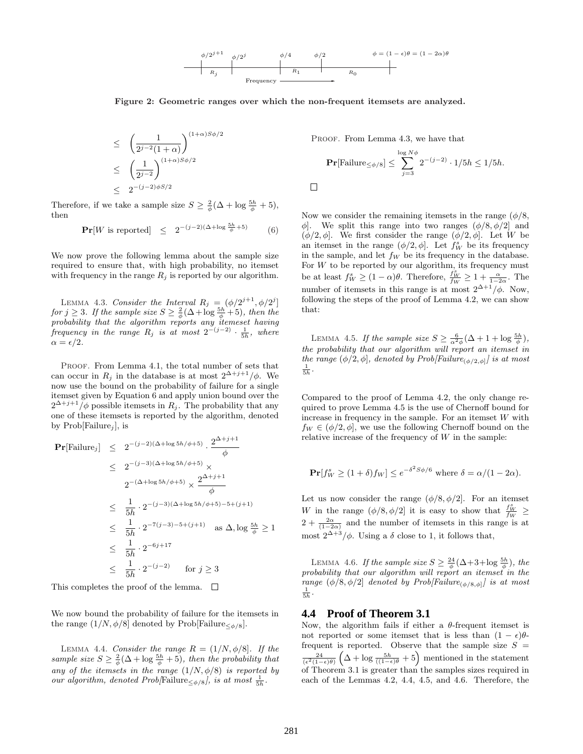

 $\Box$ 

Figure 2: Geometric ranges over which the non-frequent itemsets are analyzed.

$$
\leq \left(\frac{1}{2^{j-2}(1+\alpha)}\right)^{(1+\alpha)S\phi/2}
$$
  

$$
\leq \left(\frac{1}{2^{j-2}}\right)^{(1+\alpha)S\phi/2}
$$
  

$$
\leq 2^{-(j-2)\phi S/2}
$$

Therefore, if we take a sample size  $S \geq \frac{2}{\phi}(\Delta + \log \frac{5h}{\phi} + 5)$ , then

$$
\mathbf{Pr}[W \text{ is reported}] \leq 2^{-(j-2)(\Delta + \log \frac{5h}{\phi} + 5)} \tag{6}
$$

We now prove the following lemma about the sample size required to ensure that, with high probability, no itemset with frequency in the range  $R_j$  is reported by our algorithm.

LEMMA 4.3. Consider the Interval  $R_j = (\phi/2^{j+1}, \phi/2^j]$ for  $j \geq 3$ . If the sample size  $S \geq \frac{2}{\phi}(\Delta + \log \frac{5h}{\phi} + 5)$ , then the probability that the algorithm reports any itemeset having frequency in the range  $R_j$  is at most  $2^{-(j-2)} \cdot \frac{1}{5h}$ , where  $\alpha = \epsilon/2$ .

PROOF. From Lemma 4.1, the total number of sets that can occur in  $R_j$  in the database is at most  $2^{\Delta+j+1}/\phi$ . We now use the bound on the probability of failure for a single itemset given by Equation 6 and apply union bound over the  $2^{\Delta+j+1}/\phi$  possible itemsets in  $R_j$ . The probability that any one of these itemsets is reported by the algorithm, denoted by  $Prob[Failure_i]$ , is

$$
\begin{array}{rcl}\n\mathbf{Pr}[\text{Failure}_j] & \leq & 2^{-(j-2)(\Delta+\log 5h/\phi+5)} \cdot \frac{2^{\Delta+j+1}}{\phi} \\
& \leq & 2^{-(j-3)(\Delta+\log 5h/\phi+5)} \times \\
& 2^{-(\Delta+\log 5h/\phi+5)} \times \frac{2^{\Delta+j+1}}{\phi} \\
& \leq & \frac{1}{5h} \cdot 2^{-(j-3)(\Delta+\log 5h/\phi+5)-5+(j+1)} \\
& \leq & \frac{1}{5h} \cdot 2^{-7(j-3)-5+(j+1)} \quad \text{as } \Delta, \log \frac{5h}{\phi} \geq 1 \\
& \leq & \frac{1}{5h} \cdot 2^{-6j+17} \\
& \leq & \frac{1}{5h} \cdot 2^{-(j-2)} \quad \text{for } j \geq 3\n\end{array}
$$

This completes the proof of the lemma.  $\square$ 

We now bound the probability of failure for the itemsets in the range  $(1/N, \phi/8]$  denoted by Prob[Failure<sub> $\langle \phi/s \rangle$ ]</sub>.

LEMMA 4.4. Consider the range  $R = (1/N, \phi/8]$ . If the sample size  $S \geq \frac{2}{\phi}(\Delta + \log \frac{5h}{\phi} + 5)$ , then the probability that any of the itemsets in the range  $(1/N, \phi/8)$  is reported by our algorithm, denoted Prob[Failure<sub> $\leq \phi/8$ </sub>], is at most  $\frac{1}{5h}$ .

PROOF. From Lemma 4.3, we have that

$$
\mathbf{Pr}[\text{Failure}_{\leq \phi/8}] \leq \sum_{j=3}^{\log N\phi} 2^{-(j-2)} \cdot 1/5h \leq 1/5h.
$$

Now we consider the remaining itemsets in the range  $(\phi/8,$  $\phi$ . We split this range into two ranges  $(\phi/8, \phi/2)$  and  $(\phi/2, \phi]$ . We first consider the range  $(\phi/2, \phi]$ . Let W be an itemset in the range  $(\phi/2, \phi]$ . Let  $f_W^s$  be its frequency in the sample, and let  $f_W$  be its frequency in the database. For  $W$  to be reported by our algorithm, its frequency must be at least  $f_W^s \geq (1-\alpha)\theta$ . Therefore,  $\frac{f_W^s}{f_W} \geq 1 + \frac{\alpha}{1-2\alpha}$ . The number of itemsets in this range is at most  $2^{\Delta+1}/\phi$ . Now, following the steps of the proof of Lemma 4.2, we can show that:

LEMMA 4.5. If the sample size  $S \geq \frac{6}{\alpha^2 \phi} (\Delta + 1 + \log \frac{5h}{\phi}),$ the probability that our algorithm will report an itemset in the range  $(\phi/2, \phi]$ , denoted by Prob[Failure<sub>( $\phi/2, \phi$ ]</sub> is at most  $\frac{1}{5h}$ .

Compared to the proof of Lemma 4.2, the only change required to prove Lemma 4.5 is the use of Chernoff bound for increase in frequency in the sample. For an itemset  $W$  with  $f_W \in (\phi/2, \phi]$ , we use the following Chernoff bound on the relative increase of the frequency of  $W$  in the sample:

$$
\mathbf{Pr}[f_W^s \ge (1+\delta)f_W] \le e^{-\delta^2 S\phi/6} \text{ where } \delta = \alpha/(1-2\alpha).
$$

Let us now consider the range  $(\phi/8, \phi/2]$ . For an itemset W in the range  $(\phi/8, \phi/2]$  it is easy to show that  $\frac{f_W^s}{f_W} \ge$  $2 + \frac{2\alpha}{(1-2\alpha)}$  and the number of itemsets in this range is at most  $2^{\Delta + 3}/\phi$ . Using a  $\delta$  close to 1, it follows that,

LEMMA 4.6. If the sample size  $S \geq \frac{24}{\phi} (\Delta + 3 + \log \frac{5h}{\phi})$ , the probability that our algorithm will report an itemset in the range  $(\phi/8, \phi/2]$  denoted by Prob[Failure<sub>( $\phi/8, \phi$ ]</sub> is at most  $\frac{1}{5h}$ .

#### **4.4 Proof of Theorem 3.1**

Now, the algorithm fails if either a  $\theta$ -frequent itemset is not reported or some itemset that is less than  $(1 - \epsilon)\theta$ frequent is reported. Observe that the sample size  $S =$  $\frac{24}{(\epsilon^2(1-\epsilon)\theta)}\left(\Delta+\log\frac{5h}{(1-\epsilon)\theta}+5\right)$  mentioned in the statement of Theorem 3.1 is greater than the samples sizes required in each of the Lemmas 4.2, 4.4, 4.5, and 4.6. Therefore, the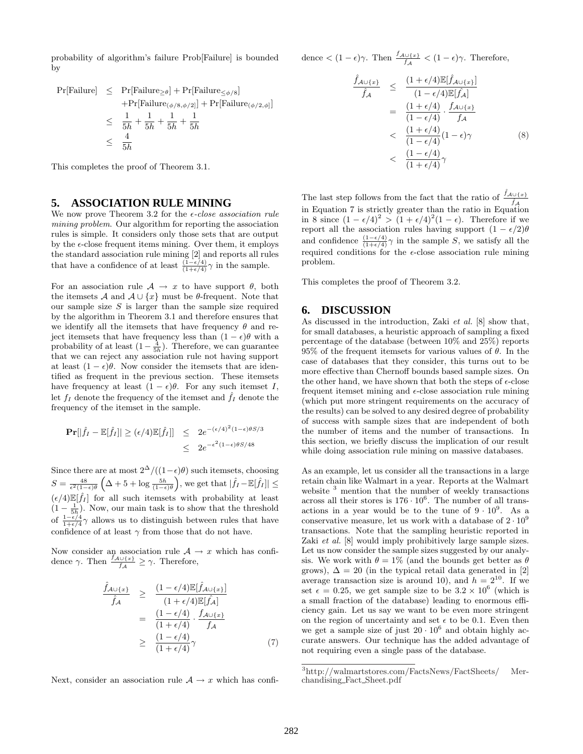probability of algorithm's failure Prob[Failure] is bounded by

$$
\begin{array}{rcl}\n\Pr[\text{Failure}] & \leq & \Pr[\text{Failure}_{\leq \phi}/\text{s}] \\
& & + \Pr[\text{Failure}_{(\phi/8, \phi/2)}] + \Pr[\text{Failure}_{(\phi/2, \phi)}] \\
& \leq & \frac{1}{5h} + \frac{1}{5h} + \frac{1}{5h} + \frac{1}{5h} \\
& \leq & \frac{4}{5h}\n\end{array}
$$

This completes the proof of Theorem 3.1.

# **5. ASSOCIATION RULE MINING**

We now prove Theorem 3.2 for the  $\epsilon$ -close association rule mining problem. Our algorithm for reporting the association rules is simple. It considers only those sets that are output by the  $\epsilon$ -close frequent items mining. Over them, it employs the standard association rule mining [2] and reports all rules that have a confidence of at least  $\frac{(1-\epsilon/4)}{(1+\epsilon/4)}\gamma$  in the sample.

For an association rule  $A \rightarrow x$  to have support  $\theta$ , both the itemsets A and  $A \cup \{x\}$  must be  $\theta$ -frequent. Note that our sample size  $S$  is larger than the sample size required by the algorithm in Theorem 3.1 and therefore ensures that we identify all the itemsets that have frequency  $\theta$  and reject itemsets that have frequency less than  $(1 - \epsilon)\theta$  with a probability of at least  $(1 - \frac{4}{5h})$ . Therefore, we can guarantee that we can reject any association rule not having support at least  $(1 - \epsilon)\theta$ . Now consider the itemsets that are identified as frequent in the previous section. These itemsets have frequency at least  $(1 - \epsilon)\theta$ . For any such itemset I, let  $f_I$  denote the frequency of the itemset and  $\hat{f}_I$  denote the frequency of the itemset in the sample.

$$
\begin{aligned} \Pr[|\hat{f}_I - \mathbb{E}[\hat{f}_I]| \ge (\epsilon/4)\mathbb{E}[\hat{f}_I]] &\le 2e^{-(\epsilon/4)^2(1-\epsilon)\theta S/3} \\ &\le 2e^{-\epsilon^2(1-\epsilon)\theta S/48} \end{aligned}
$$

Since there are at most  $2^{\Delta}/((1-\epsilon)\theta)$  such itemsets, choosing  $S = \frac{48}{\epsilon^2 (1-\epsilon)\theta} \left( \Delta + 5 + \log \frac{5h}{(1-\epsilon)\theta} \right)$ , we get that  $|\hat{f}_I - \mathbb{E}[\hat{f}_I]| \leq$  $(\epsilon/4)\mathbb{E}[\hat{f}_I]$  for all such itemsets with probability at least  $(1 - \frac{1}{5h})$ . Now, our main task is to show that the threshold of  $\frac{1-\epsilon/4}{1+\epsilon/4}\gamma$  allows us to distinguish between rules that have confidence of at least  $\gamma$  from those that do not have.

Now consider an association rule  $\mathcal{A} \to x$  which has confidence  $\gamma$ . Then  $\frac{f_{\mathcal{A}\cup\{x\}}}{f_{\mathcal{A}}} \geq \gamma$ . Therefore,

$$
\frac{\hat{f}_{A\cup\{x\}}}{\hat{f}_{A}} \geq \frac{(1-\epsilon/4)\mathbb{E}[\hat{f}_{A\cup\{x\}}]}{(1+\epsilon/4)\mathbb{E}[\hat{f}_{A}]}
$$
\n
$$
= \frac{(1-\epsilon/4)}{(1+\epsilon/4)} \cdot \frac{f_{A\cup\{x\}}}{f_{A}}
$$
\n
$$
\geq \frac{(1-\epsilon/4)}{(1+\epsilon/4)}\gamma
$$
\n(7)

Next, consider an association rule  $A \rightarrow x$  which has confi-

dence  $\langle (1 - \epsilon)\gamma$ . Then  $\frac{f_{\mathcal{A} \cup \{x\}}}{f_{\mathcal{A}}} \langle (1 - \epsilon)\gamma$ . Therefore,

$$
\frac{\hat{f}_{A\cup\{x\}}}{\hat{f}_{A}} \leq \frac{(1+\epsilon/4)\mathbb{E}[\hat{f}_{A\cup\{x\}}]}{(1-\epsilon/4)\mathbb{E}[\hat{f}_{A}]}
$$
\n
$$
= \frac{(1+\epsilon/4)}{(1-\epsilon/4)} \cdot \frac{f_{A\cup\{x\}}}{f_{A}}
$$
\n
$$
< \frac{(1+\epsilon/4)}{(1-\epsilon/4)}(1-\epsilon)\gamma
$$
\n
$$
< \frac{(1-\epsilon/4)}{(1+\epsilon/4)}\gamma
$$
\n(8)

The last step follows from the fact that the ratio of  $\frac{\hat{f}_{\mathcal{A} \cup \{x\}}}{\hat{f}_{\mathcal{A}}}$ in Equation 7 is strictly greater than the ratio in Equation in 8 since  $(1 - \epsilon/4)^2 > (1 + \epsilon/4)^2(1 - \epsilon)$ . Therefore if we report all the association rules having support  $(1 - \epsilon/2)\theta$ and confidence  $\frac{(1-\epsilon/4)}{(1+\epsilon/4)}\gamma$  in the sample S, we satisfy all the required conditions for the  $\epsilon$ -close association rule mining problem.

This completes the proof of Theorem 3.2.

## **6. DISCUSSION**

As discussed in the introduction, Zaki et al. [8] show that, for small databases, a heuristic approach of sampling a fixed percentage of the database (between 10% and 25%) reports 95% of the frequent itemsets for various values of  $\theta$ . In the case of databases that they consider, this turns out to be more effective than Chernoff bounds based sample sizes. On the other hand, we have shown that both the steps of  $\epsilon$ -close frequent itemset mining and  $\epsilon$ -close association rule mining (which put more stringent requirements on the accuracy of the results) can be solved to any desired degree of probability of success with sample sizes that are independent of both the number of items and the number of transactions. In this section, we briefly discuss the implication of our result while doing association rule mining on massive databases.

As an example, let us consider all the transactions in a large retain chain like Walmart in a year. Reports at the Walmart website <sup>3</sup> mention that the number of weekly transactions across all their stores is  $176 \cdot 10^6$ . The number of all transactions in a year would be to the tune of  $9 \cdot 10^9$ . As a conservative measure, let us work with a database of  $2 \cdot 10^9$ transactions. Note that the sampling heuristic reported in Zaki et al. [8] would imply prohibitively large sample sizes. Let us now consider the sample sizes suggested by our analysis. We work with  $\theta = 1\%$  (and the bounds get better as  $\theta$ grows),  $\Delta = 20$  (in the typical retail data generated in [2] average transaction size is around 10), and  $h = 2^{10}$ . If we set  $\epsilon = 0.25$ , we get sample size to be  $3.2 \times 10^6$  (which is a small fraction of the database) leading to enormous efficiency gain. Let us say we want to be even more stringent on the region of uncertainty and set  $\epsilon$  to be 0.1. Even then we get a sample size of just  $20 \cdot 10^6$  and obtain highly accurate answers. Our technique has the added advantage of not requiring even a single pass of the database.

<sup>3</sup>http://walmartstores.com/FactsNews/FactSheets/ Merchandising Fact Sheet.pdf